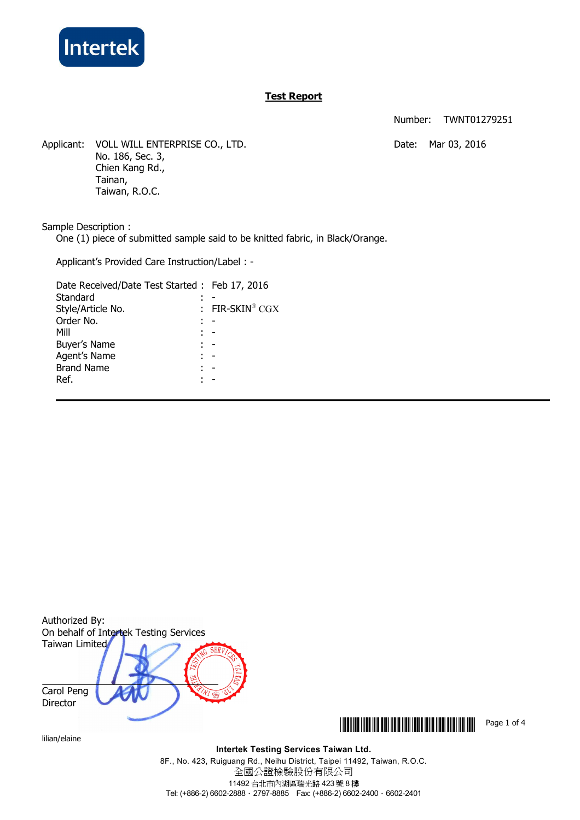

# **Test Report**

Number: TWNT01279251

Applicant: VOLL WILL ENTERPRISE CO., LTD. The match of the Mar 03, 2016 No. 186, Sec. 3, Chien Kang Rd., Tainan, Taiwan, R.O.C.

Sample Description :

One (1) piece of submitted sample said to be knitted fabric, in Black/Orange.

Applicant's Provided Care Instruction/Label : -

| Date Received/Date Test Started: Feb 17, 2016 |                   |
|-----------------------------------------------|-------------------|
| Standard                                      |                   |
| Style/Article No.                             | : FIR-SKIN® $CGX$ |
| Order No.                                     |                   |
| Mill                                          |                   |
| Buyer's Name                                  |                   |
| Agent's Name                                  |                   |
| <b>Brand Name</b>                             |                   |
| Ref.                                          |                   |
|                                               |                   |



lilian/elaine

**\*THE THE REAL PROPERTY IN THE REAL PROPERTY OF 4** 

**Intertek Testing Services Taiwan Ltd.**

8F., No. 423, Ruiguang Rd., Neihu District, Taipei 11492, Taiwan, R.O.C. 全國公證檢驗股份有限公司 11492 台北市內湖區瑞光路 423 號 8 樓 Tel: (+886-2) 6602-2888 · 2797-8885 Fax: (+886-2) 6602-2400 · 6602-2401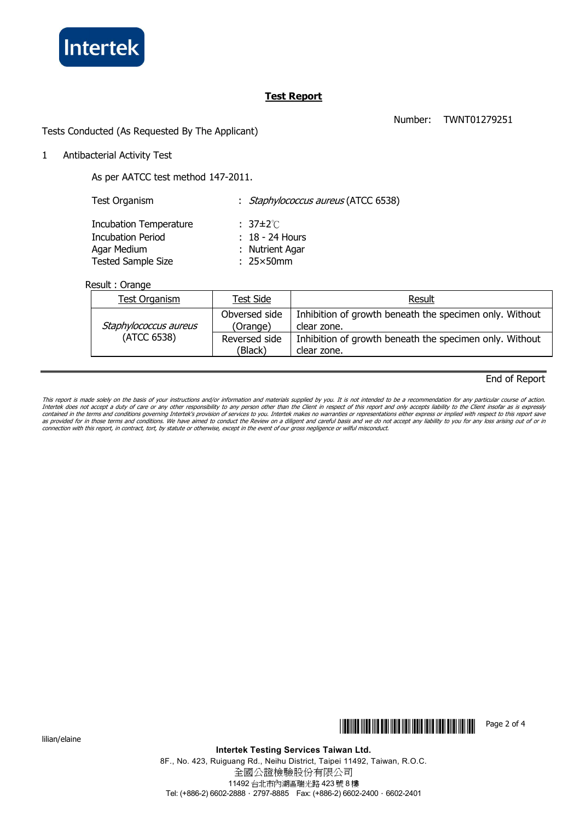

## **Test Report**

Number: TWNT01279251

Tests Conducted (As Requested By The Applicant)

1 Antibacterial Activity Test

As per AATCC test method 147-2011.

Test Organism : Staphylococcus aureus (ATCC 6538) Incubation Temperature : 37±2℃ Incubation Period : 18 - 24 Hours Agar Medium : Nutrient Agar Tested Sample Size : 25×50mm

Result : Orange

| <b>Test Organism</b>                 | Test Side                 | Result                                                                 |
|--------------------------------------|---------------------------|------------------------------------------------------------------------|
| Staphylococcus aureus<br>(ATCC 6538) | Obversed side<br>(Orange) | Inhibition of growth beneath the specimen only. Without<br>clear zone. |
|                                      | Reversed side<br>(Black)  | Inhibition of growth beneath the specimen only. Without<br>clear zone. |

### End of Report

This report is made solely on the basis of your instructions and/or information and materials supplied by you. It is not intended to be a recommendation for any particular course of action.<br>Intertek does not accept a duty connection with this report, in contract, tort, by statute or otherwise, except in the event of our gross negligence or wilful misconduct.

lilian/elaine



**Intertek Testing Services Taiwan Ltd.**

8F., No. 423, Ruiguang Rd., Neihu District, Taipei 11492, Taiwan, R.O.C. 全國公證檢驗股份有限公司 11492 台北市內湖區瑞光路 423 號 8 樓 Tel: (+886-2) 6602-2888 · 2797-8885 Fax: (+886-2) 6602-2400 · 6602-2401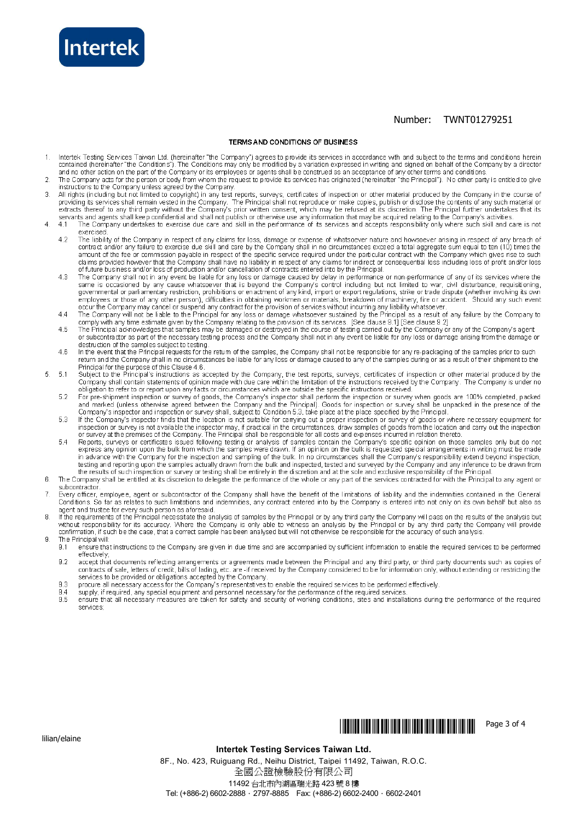

#### Number: TWNT01279251

#### TERMS AND CONDITIONS OF BUSINESS

- Intertek Testing Services Taiwan Ltd. (hereinafter "the Company") agrees to provide its services in accordance with and subject to the terms and conditions herein<br>contained (hereinafter "the Conditions"). The Conditions ma  $\overline{1}$ and no other action on the part of the Company or its employees or agents shall be construed as an acceptance of any other terms and conditions.
- The Company acts for the person or body from whom the request to provide its services has originated (hereinafter "the Principal"). No other party is entitled to give<br>instructions to the Company unless agreed by the Compan  $\overline{2}$
- All rights (including but not limited to copyright) in any test reports, surveys, certificates of inspection or other material produced by the Company in the course of 3 required in the company of the Company. The Principal shall not reproduce or make copies, publish or disclose the contents of any such material or extracts thereof to any third party without the Company. The Principal shal
- The Company undertakes to exercise due care and skill in the performance of its services and accepts responsibility only where such skill and care is not  $\overline{4}$  $4.1$ exercised
	- exercise.<br>The liability of the Company in respect of any claims for loss, damage or expense of whatsoever nature and howsoever arising in respect of any breach of<br>contract and/or any failure to exercise due skill and care  $42$ amount of the fee or commission payable in respect of the specific service required under the particular contract with the Company which gives rise to such diams provided however that the Company shall have no liability in respect of any claims for indirect or consequential loss including loss of profit and/or loss of profit and/or loss of profit and/or loss of profit and/or
	- $43$ The Company shall not in any event be liable for any loss or damage caused by delay in performance or non-performance or any of its services where the<br>same is occasioned by any cause whatsoever that is beyond the Company's
	- The Company will not be liable to the Principal for any loss or damage whatsoever sustained by the Principal as a result of any failure by the Company to  $44$
	- comply with any time estimate given by the Company relating to the provision of its services. [See clause 9.1] [See clause 9.2]<br>The Principal acknowledges that samples may be damaged or destroyed in the course of testing c  $\overline{AB}$
	- destruction of the samples subject to testing.<br>In the event that the Principal requests for the return of the samples, the Company shall not be responsible for any receiver any receiver darrage anomy in the samples prior t  $\overline{A}$  R Principal for the purpose of this Clause 4.6
- Frincipal of the purpose of this Clause 4.0.<br>Company shall contain statements of opinion made with due care within the limitation of the instructions received by the Company. The Company is under no<br>Company shall contain s  $\overline{5}$  $-51$ 
	- 52
	- For pre-shipment inspection or survey of goods, the Company's inspector shall perform the inspection or survey when goods are 100% completed, packed<br>and marked (unless oftenwise agreed between the Company and the Principal 5.3
	- $54$ in advance with the Company for the inspection and sampling of the bulk. In no circumstances shall the Company's responsibility extend beyond inspection, the company of the Principal to end in the samples actually drawn from the bulk and inspected, tested and surveyed by the Company and any inference to be drawn from the esults of such inspection or survey or testing shall
- $\mathbb{R}$ subcontractor
- Every officer, employee, agent or subcontractor of the Company shall have the benefit of the limitations of liability and the indemnities contained in the General<br>Conditions. So far as relates to such limitations and indem  $\overline{7}$ agent and trustee for every such person as aforesaid.
- If the requirements of the Principal necessitate the analysis of samples by the Principal or by any third party the Company will pass on the results of the analysis but 8 without responsibility for its accuracy. Where the Company is only able to witness an analysis by the Principal or by any third party the Company will provide<br>confirmation, if such be the case, that a correct sample has be The Principal will:  $\overline{a}$ 
	- $9.1$ ensure that instructions to the Company are given in due time and are accompanied by sufficient information to enable the required services to be performed
	- effectively,<br>accept that documents reflecting arrangements or agreements made between the Principal and any third party, or third party documents such as copies of<br>contracts of sale, letters of credit, bills of lading, etc  $9.2$
	- procure all necessary access for the Company's representatives to enable the required services to be performed effectively 9.3
	- supply, if required, any special equipment and personnel necessary for the performance of the required services.<br>ensure that all necessary measures are taken for safety and security of working conditions, sites and install 9.4  $9.5$
	- services:



Page 3 of 4

#### **Intertek Testing Services Taiwan Ltd.**

8F., No. 423, Ruiguang Rd., Neihu District, Taipei 11492, Taiwan, R.O.C. 全國公證檢驗股份有限公司 11492 台北市內湖區瑞光路 423號 8樓 Tel: (+886-2) 6602-2888 · 2797-8885 Fax: (+886-2) 6602-2400 · 6602-2401